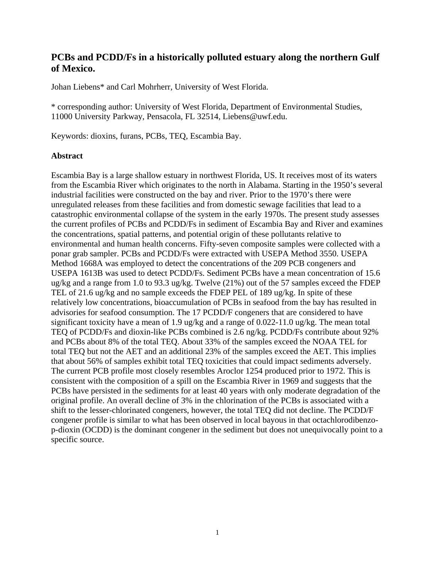# **PCBs and PCDD/Fs in a historically polluted estuary along the northern Gulf of Mexico.**

Johan Liebens\* and Carl Mohrherr, University of West Florida.

\* corresponding author: University of West Florida, Department of Environmental Studies, 11000 University Parkway, Pensacola, FL 32514, Liebens@uwf.edu.

Keywords: dioxins, furans, PCBs, TEQ, Escambia Bay.

### **Abstract**

Escambia Bay is a large shallow estuary in northwest Florida, US. It receives most of its waters from the Escambia River which originates to the north in Alabama. Starting in the 1950's several industrial facilities were constructed on the bay and river. Prior to the 1970's there were unregulated releases from these facilities and from domestic sewage facilities that lead to a catastrophic environmental collapse of the system in the early 1970s. The present study assesses the current profiles of PCBs and PCDD/Fs in sediment of Escambia Bay and River and examines the concentrations, spatial patterns, and potential origin of these pollutants relative to environmental and human health concerns. Fifty-seven composite samples were collected with a ponar grab sampler. PCBs and PCDD/Fs were extracted with USEPA Method 3550. USEPA Method 1668A was employed to detect the concentrations of the 209 PCB congeners and USEPA 1613B was used to detect PCDD/Fs. Sediment PCBs have a mean concentration of 15.6 ug/kg and a range from 1.0 to 93.3 ug/kg. Twelve (21%) out of the 57 samples exceed the FDEP TEL of 21.6 ug/kg and no sample exceeds the FDEP PEL of 189 ug/kg. In spite of these relatively low concentrations, bioaccumulation of PCBs in seafood from the bay has resulted in advisories for seafood consumption. The 17 PCDD/F congeners that are considered to have significant toxicity have a mean of 1.9 ug/kg and a range of 0.022-11.0 ug/kg. The mean total TEQ of PCDD/Fs and dioxin-like PCBs combined is 2.6 ng/kg. PCDD/Fs contribute about 92% and PCBs about 8% of the total TEQ. About 33% of the samples exceed the NOAA TEL for total TEQ but not the AET and an additional 23% of the samples exceed the AET. This implies that about 56% of samples exhibit total TEQ toxicities that could impact sediments adversely. The current PCB profile most closely resembles Aroclor 1254 produced prior to 1972. This is consistent with the composition of a spill on the Escambia River in 1969 and suggests that the PCBs have persisted in the sediments for at least 40 years with only moderate degradation of the original profile. An overall decline of 3% in the chlorination of the PCBs is associated with a shift to the lesser-chlorinated congeners, however, the total TEQ did not decline. The PCDD/F congener profile is similar to what has been observed in local bayous in that octachlorodibenzop-dioxin (OCDD) is the dominant congener in the sediment but does not unequivocally point to a specific source.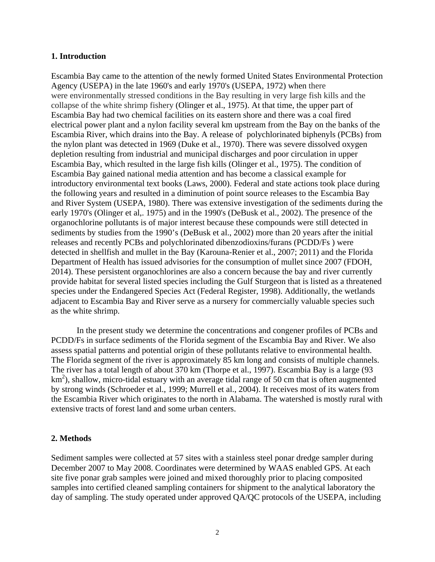#### **1. Introduction**

Escambia Bay came to the attention of the newly formed United States Environmental Protection Agency (USEPA) in the late 1960's and early 1970's (USEPA, 1972) when there were environmentally stressed conditions in the Bay resulting in very large fish kills and the collapse of the white shrimp fishery (Olinger et al., 1975). At that time, the upper part of Escambia Bay had two chemical facilities on its eastern shore and there was a coal fired electrical power plant and a nylon facility several km upstream from the Bay on the banks of the Escambia River, which drains into the Bay. A release of polychlorinated biphenyls (PCBs) from the nylon plant was detected in 1969 (Duke et al., 1970). There was severe dissolved oxygen depletion resulting from industrial and municipal discharges and poor circulation in upper Escambia Bay, which resulted in the large fish kills (Olinger et al., 1975). The condition of Escambia Bay gained national media attention and has become a classical example for introductory environmental text books (Laws, 2000). Federal and state actions took place during the following years and resulted in a diminution of point source releases to the Escambia Bay and River System (USEPA, 1980). There was extensive investigation of the sediments during the early 1970's (Olinger et al,. 1975) and in the 1990's (DeBusk et al., 2002). The presence of the organochlorine pollutants is of major interest because these compounds were still detected in sediments by studies from the 1990's (DeBusk et al., 2002) more than 20 years after the initial releases and recently PCBs and polychlorinated dibenzodioxins/furans (PCDD/Fs ) were detected in shellfish and mullet in the Bay (Karouna-Renier et al., 2007; 2011) and the Florida Department of Health has issued advisories for the consumption of mullet since 2007 (FDOH, 2014). These persistent organochlorines are also a concern because the bay and river currently provide habitat for several listed species including the Gulf Sturgeon that is listed as a threatened species under the Endangered Species Act (Federal Register, 1998). Additionally, the wetlands adjacent to Escambia Bay and River serve as a nursery for commercially valuable species such as the white shrimp.

In the present study we determine the concentrations and congener profiles of PCBs and PCDD/Fs in surface sediments of the Florida segment of the Escambia Bay and River. We also assess spatial patterns and potential origin of these pollutants relative to environmental health. The Florida segment of the river is approximately 85 km long and consists of multiple channels. The river has a total length of about 370 km (Thorpe et al., 1997). Escambia Bay is a large (93 km<sup>2</sup>), shallow, micro-tidal estuary with an average tidal range of 50 cm that is often augmented by strong winds (Schroeder et al., 1999; Murrell et al., 2004). It receives most of its waters from the Escambia River which originates to the north in Alabama. The watershed is mostly rural with extensive tracts of forest land and some urban centers.

### **2. Methods**

Sediment samples were collected at 57 sites with a stainless steel ponar dredge sampler during December 2007 to May 2008. Coordinates were determined by WAAS enabled GPS. At each site five ponar grab samples were joined and mixed thoroughly prior to placing composited samples into certified cleaned sampling containers for shipment to the analytical laboratory the day of sampling. The study operated under approved QA/QC protocols of the USEPA, including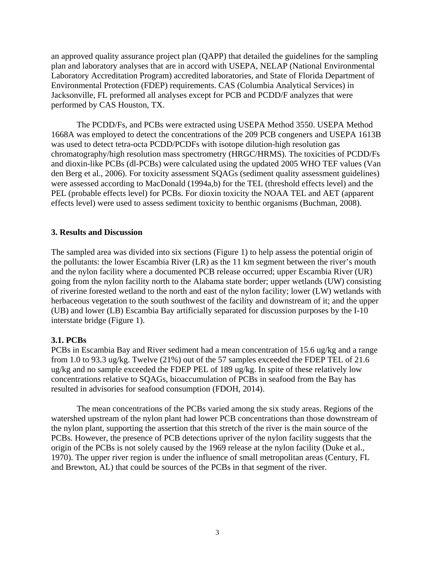an approved quality assurance project plan (QAPP) that detailed the guidelines for the sampling plan and laboratory analyses that are in accord with USEPA, NELAP (National Environmental Laboratory Accreditation Program) accredited laboratories, and State of Florida Department of Environmental Protection (FDEP) requirements. CAS (Columbia Analytical Services) in Jacksonville, FL preformed all analyses except for PCB and PCDD/F analyzes that were performed by CAS Houston, TX.

The PCDD/Fs, and PCBs were extracted using USEPA Method 3550. USEPA Method 1668A was employed to detect the concentrations of the 209 PCB congeners and USEPA 1613B was used to detect tetra-octa PCDD/PCDFs with isotope dilution-high resolution gas chromatography/high resolution mass spectrometry (HRGC/HRMS). The toxicities of PCDD/Fs and dioxin-like PCBs (dl-PCBs) were calculated using the updated 2005 WHO TEF values (Van den Berg et al., 2006). For toxicity assessment SQAGs (sediment quality assessment guidelines) were assessed according to MacDonald (1994a,b) for the TEL (threshold effects level) and the PEL (probable effects level) for PCBs. For dioxin toxicity the NOAA TEL and AET (apparent effects level) were used to assess sediment toxicity to benthic organisms (Buchman, 2008).

#### **3. Results and Discussion**

The sampled area was divided into six sections (Figure 1) to help assess the potential origin of the pollutants: the lower Escambia River (LR) as the 11 km segment between the river's mouth and the nylon facility where a documented PCB release occurred; upper Escambia River (UR) going from the nylon facility north to the Alabama state border; upper wetlands (UW) consisting of riverine forested wetland to the north and east of the nylon facility; lower (LW) wetlands with herbaceous vegetation to the south southwest of the facility and downstream of it; and the upper (UB) and lower (LB) Escambia Bay artificially separated for discussion purposes by the I-10 interstate bridge (Figure 1).

### **3.1. PCBs**

PCBs in Escambia Bay and River sediment had a mean concentration of 15.6 ug/kg and a range from 1.0 to 93.3 ug/kg. Twelve (21%) out of the 57 samples exceeded the FDEP TEL of 21.6 ug/kg and no sample exceeded the FDEP PEL of 189 ug/kg. In spite of these relatively low concentrations relative to SQAGs, bioaccumulation of PCBs in seafood from the Bay has resulted in advisories for seafood consumption (FDOH, 2014).

The mean concentrations of the PCBs varied among the six study areas. Regions of the watershed upstream of the nylon plant had lower PCB concentrations than those downstream of the nylon plant, supporting the assertion that this stretch of the river is the main source of the PCBs. However, the presence of PCB detections upriver of the nylon facility suggests that the origin of the PCBs is not solely caused by the 1969 release at the nylon facility (Duke et al., 1970). The upper river region is under the influence of small metropolitan areas (Century, FL and Brewton, AL) that could be sources of the PCBs in that segment of the river.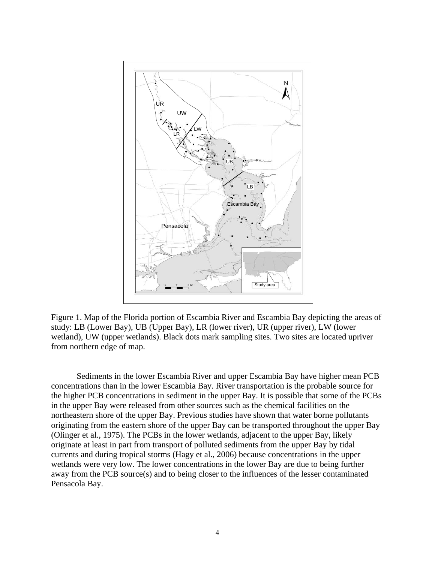

Figure 1. Map of the Florida portion of Escambia River and Escambia Bay depicting the areas of study: LB (Lower Bay), UB (Upper Bay), LR (lower river), UR (upper river), LW (lower wetland), UW (upper wetlands). Black dots mark sampling sites. Two sites are located upriver from northern edge of map.

Sediments in the lower Escambia River and upper Escambia Bay have higher mean PCB concentrations than in the lower Escambia Bay. River transportation is the probable source for the higher PCB concentrations in sediment in the upper Bay. It is possible that some of the PCBs in the upper Bay were released from other sources such as the chemical facilities on the northeastern shore of the upper Bay. Previous studies have shown that water borne pollutants originating from the eastern shore of the upper Bay can be transported throughout the upper Bay (Olinger et al., 1975). The PCBs in the lower wetlands, adjacent to the upper Bay, likely originate at least in part from transport of polluted sediments from the upper Bay by tidal currents and during tropical storms (Hagy et al., 2006) because concentrations in the upper wetlands were very low. The lower concentrations in the lower Bay are due to being further away from the PCB source(s) and to being closer to the influences of the lesser contaminated Pensacola Bay.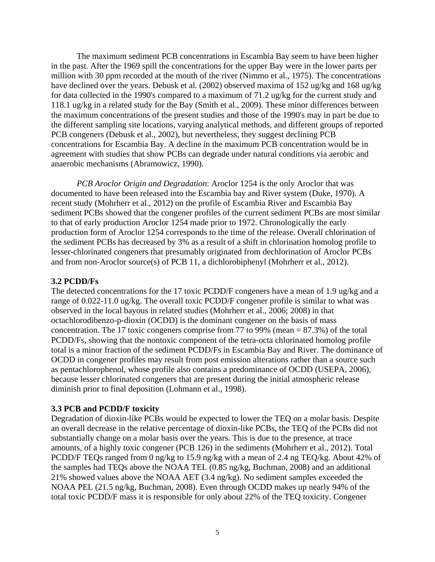The maximum sediment PCB concentrations in Escambia Bay seem to have been higher in the past. After the 1969 spill the concentrations for the upper Bay were in the lower parts per million with 30 ppm recorded at the mouth of the river (Nimmo et al., 1975). The concentrations have declined over the years. Debusk et al. (2002) observed maxima of 152 ug/kg and 168 ug/kg for data collected in the 1990's compared to a maximum of 71.2 ug/kg for the current study and 118.1 ug/kg in a related study for the Bay (Smith et al., 2009). These minor differences between the maximum concentrations of the present studies and those of the 1990's may in part be due to the different sampling site locations, varying analytical methods, and different groups of reported PCB congeners (Debusk et al., 2002), but nevertheless, they suggest declining PCB concentrations for Escambia Bay. A decline in the maximum PCB concentration would be in agreement with studies that show PCBs can degrade under natural conditions via aerobic and anaerobic mechanisms (Abramowicz, 1990).

*PCB Aroclor Origin and Degradation*: Aroclor 1254 is the only Aroclor that was documented to have been released into the Escambia bay and River system (Duke, 1970). A recent study (Mohrherr et al., 2012) on the profile of Escambia River and Escambia Bay sediment PCBs showed that the congener profiles of the current sediment PCBs are most similar to that of early production Aroclor 1254 made prior to 1972. Chronologically the early production form of Aroclor 1254 corresponds to the time of the release. Overall chlorination of the sediment PCBs has decreased by 3% as a result of a shift in chlorination homolog profile to lesser-chlorinated congeners that presumably originated from dechlorination of Aroclor PCBs and from non-Aroclor source(s) of PCB 11, a dichlorobiphenyl (Mohrherr et al., 2012).

## **3.2 PCDD/Fs**

The detected concentrations for the 17 toxic PCDD/F congeners have a mean of 1.9 ug/kg and a range of 0.022-11.0 ug/kg. The overall toxic PCDD/F congener profile is similar to what was observed in the local bayous in related studies (Mohrherr et al., 2006; 2008) in that octachlorodibenzo-p-dioxin (OCDD) is the dominant congener on the basis of mass concentration. The 17 toxic congeners comprise from 77 to 99% (mean = 87.3%) of the total PCDD/Fs, showing that the nontoxic component of the tetra-octa chlorinated homolog profile total is a minor fraction of the sediment PCDD/Fs in Escambia Bay and River. The dominance of OCDD in congener profiles may result from post emission alterations rather than a source such as pentachlorophenol, whose profile also contains a predominance of OCDD (USEPA, 2006), because lesser chlorinated congeners that are present during the initial atmospheric release diminish prior to final deposition (Lohmann et al., 1998).

### **3.3 PCB and PCDD/F toxicity**

Degradation of dioxin-like PCBs would be expected to lower the TEQ on a molar basis. Despite an overall decrease in the relative percentage of dioxin-like PCBs, the TEQ of the PCBs did not substantially change on a molar basis over the years. This is due to the presence, at trace amounts, of a highly toxic congener (PCB 126) in the sediments (Mohrherr et al., 2012). Total PCDD/F TEQs ranged from 0 ng/kg to 15.9 ng/kg with a mean of 2.4 ng TEQ/kg. About 42% of the samples had TEQs above the NOAA TEL (0.85 ng/kg, Buchman, 2008) and an additional 21% showed values above the NOAA AET (3.4 ng/kg). No sediment samples exceeded the NOAA PEL (21.5 ng/kg, Buchman, 2008). Even through OCDD makes up nearly 94% of the total toxic PCDD/F mass it is responsible for only about 22% of the TEQ toxicity. Congener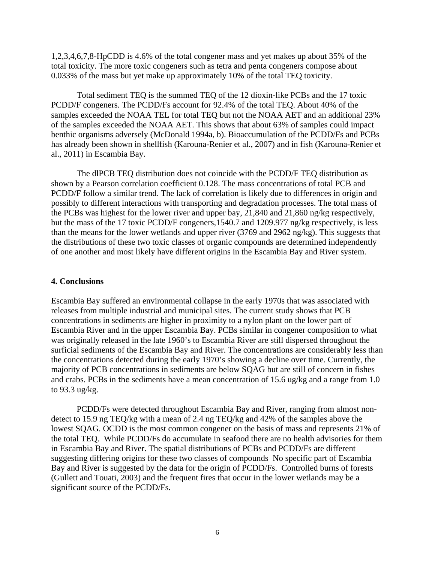1,2,3,4,6,7,8-HpCDD is 4.6% of the total congener mass and yet makes up about 35% of the total toxicity. The more toxic congeners such as tetra and penta congeners compose about 0.033% of the mass but yet make up approximately 10% of the total TEQ toxicity.

Total sediment TEQ is the summed TEQ of the 12 dioxin-like PCBs and the 17 toxic PCDD/F congeners. The PCDD/Fs account for 92.4% of the total TEQ. About 40% of the samples exceeded the NOAA TEL for total TEQ but not the NOAA AET and an additional 23% of the samples exceeded the NOAA AET. This shows that about 63% of samples could impact benthic organisms adversely (McDonald 1994a, b). Bioaccumulation of the PCDD/Fs and PCBs has already been shown in shellfish (Karouna-Renier et al., 2007) and in fish (Karouna-Renier et al., 2011) in Escambia Bay.

The dlPCB TEQ distribution does not coincide with the PCDD/F TEQ distribution as shown by a Pearson correlation coefficient 0.128. The mass concentrations of total PCB and PCDD/F follow a similar trend. The lack of correlation is likely due to differences in origin and possibly to different interactions with transporting and degradation processes. The total mass of the PCBs was highest for the lower river and upper bay, 21,840 and 21,860 ng/kg respectively, but the mass of the 17 toxic PCDD/F congeners,1540.7 and 1209.977 ng/kg respectively, is less than the means for the lower wetlands and upper river (3769 and 2962 ng/kg). This suggests that the distributions of these two toxic classes of organic compounds are determined independently of one another and most likely have different origins in the Escambia Bay and River system.

#### **4. Conclusions**

Escambia Bay suffered an environmental collapse in the early 1970s that was associated with releases from multiple industrial and municipal sites. The current study shows that PCB concentrations in sediments are higher in proximity to a nylon plant on the lower part of Escambia River and in the upper Escambia Bay. PCBs similar in congener composition to what was originally released in the late 1960's to Escambia River are still dispersed throughout the surficial sediments of the Escambia Bay and River. The concentrations are considerably less than the concentrations detected during the early 1970's showing a decline over time. Currently, the majority of PCB concentrations in sediments are below SQAG but are still of concern in fishes and crabs. PCBs in the sediments have a mean concentration of 15.6 ug/kg and a range from 1.0 to 93.3 ug/kg.

PCDD/Fs were detected throughout Escambia Bay and River, ranging from almost nondetect to 15.9 ng TEQ/kg with a mean of 2.4 ng TEQ/kg and 42% of the samples above the lowest SQAG. OCDD is the most common congener on the basis of mass and represents 21% of the total TEQ. While PCDD/Fs do accumulate in seafood there are no health advisories for them in Escambia Bay and River. The spatial distributions of PCBs and PCDD/Fs are different suggesting differing origins for these two classes of compounds No specific part of Escambia Bay and River is suggested by the data for the origin of PCDD/Fs. Controlled burns of forests (Gullett and Touati, 2003) and the frequent fires that occur in the lower wetlands may be a significant source of the PCDD/Fs.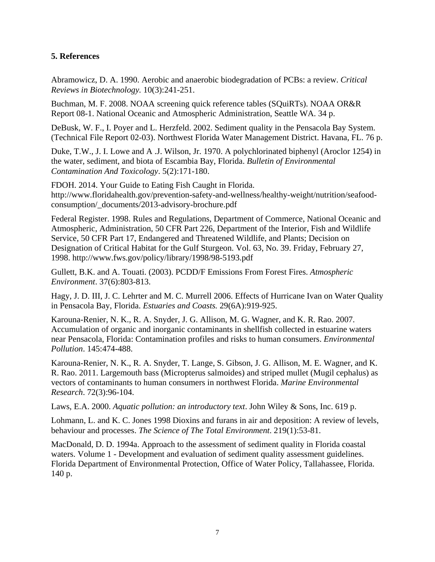# **5. References**

Abramowicz, D. A. 1990. Aerobic and anaerobic biodegradation of PCBs: a review. *Critical Reviews in Biotechnology.* 10(3):241-251.

Buchman, M. F. 2008. NOAA screening quick reference tables (SQuiRTs). NOAA OR&R Report 08-1. National Oceanic and Atmospheric Administration, Seattle WA. 34 p.

DeBusk, W. F., I. Poyer and L. Herzfeld. 2002. Sediment quality in the Pensacola Bay System. (Technical File Report 02-03). Northwest Florida Water Management District. Havana, FL. 76 p.

Duke, T.W., J. I. Lowe and A .J. Wilson, Jr. 1970. A polychlorinated biphenyl (Aroclor 1254) in the water, sediment, and biota of Escambia Bay, Florida. *Bulletin of Environmental Contamination And Toxicology*. 5(2):171-180.

FDOH. 2014. Your Guide to Eating Fish Caught in Florida. http://www.floridahealth.gov/prevention-safety-and-wellness/healthy-weight/nutrition/seafoodconsumption/\_documents/2013-advisory-brochure.pdf

Federal Register. 1998. Rules and Regulations, Department of Commerce, National Oceanic and Atmospheric, Administration, 50 CFR Part 226, Department of the Interior, Fish and Wildlife Service, 50 CFR Part 17, Endangered and Threatened Wildlife, and Plants; Decision on Designation of Critical Habitat for the Gulf Sturgeon. Vol. 63, No. 39. Friday, February 27, 1998. http://www.fws.gov/policy/library/1998/98-5193.pdf

Gullett, B.K. and A. Touati. (2003). PCDD/F Emissions From Forest Fires. *Atmospheric Environment*. 37(6):803-813.

Hagy, J. D. III, J. C. Lehrter and M. C. Murrell 2006. Effects of Hurricane Ivan on Water Quality in Pensacola Bay, Florida. *Estuaries and Coasts.* 29(6A):919-925.

Karouna-Renier, N. K., R. A. Snyder, J. G. Allison, M. G. Wagner, and K. R. Rao. 2007. Accumulation of organic and inorganic contaminants in shellfish collected in estuarine waters near Pensacola, Florida: Contamination profiles and risks to human consumers. *Environmental Pollution*. 145:474-488.

Karouna-Renier, N. K., R. A. Snyder, T. Lange, S. Gibson, J. G. Allison, M. E. Wagner, and K. R. Rao. 2011. Largemouth bass (Micropterus salmoides) and striped mullet (Mugil cephalus) as vectors of contaminants to human consumers in northwest Florida. *Marine Environmental Research*. 72(3):96-104.

Laws, E.A. 2000. *Aquatic pollution: an introductory text*. John Wiley & Sons, Inc. 619 p.

Lohmann, L. and K. C. Jones 1998 Dioxins and furans in air and deposition: A review of levels, behaviour and processes. *The Science of The Total Environment*. 219(1):53-81.

MacDonald, D. D. 1994a. Approach to the assessment of sediment quality in Florida coastal waters. Volume 1 - Development and evaluation of sediment quality assessment guidelines. Florida Department of Environmental Protection, Office of Water Policy, Tallahassee, Florida. 140 p.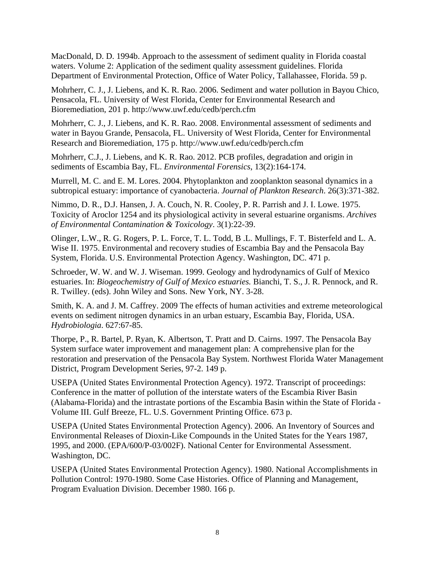MacDonald, D. D. 1994b. Approach to the assessment of sediment quality in Florida coastal waters. Volume 2: Application of the sediment quality assessment guidelines. Florida Department of Environmental Protection, Office of Water Policy, Tallahassee, Florida. 59 p.

Mohrherr, C. J., J. Liebens, and K. R. Rao. 2006. Sediment and water pollution in Bayou Chico, Pensacola, FL. University of West Florida, Center for Environmental Research and Bioremediation, 201 p. http://www.uwf.edu/cedb/perch.cfm

Mohrherr, C. J., J. Liebens, and K. R. Rao. 2008. Environmental assessment of sediments and water in Bayou Grande, Pensacola, FL. University of West Florida, Center for Environmental Research and Bioremediation, 175 p. http://www.uwf.edu/cedb/perch.cfm

Mohrherr, C.J., J. Liebens, and K. R. Rao. 2012. PCB profiles, degradation and origin in sediments of Escambia Bay, FL. *Environmental Forensics*, 13(2):164-174.

Murrell, M. C. and E. M. Lores. 2004. Phytoplankton and zooplankton seasonal dynamics in a subtropical estuary: importance of cyanobacteria. *Journal of Plankton Research*. 26(3):371-382.

Nimmo, D. R., D.J. Hansen, J. A. Couch, N. R. Cooley, P. R. Parrish and J. I. Lowe. 1975. Toxicity of Aroclor 1254 and its physiological activity in several estuarine organisms. *Archives of Environmental Contamination & Toxicology*. 3(1):22-39.

Olinger, L.W., R. G. Rogers, P. L. Force, T. L. Todd, B .L. Mullings, F. T. Bisterfeld and L. A. Wise II. 1975. Environmental and recovery studies of Escambia Bay and the Pensacola Bay System, Florida. U.S. Environmental Protection Agency. Washington, DC. 471 p.

Schroeder, W. W. and W. J. Wiseman. 1999. Geology and hydrodynamics of Gulf of Mexico estuaries. In: *Biogeochemistry of Gulf of Mexico estuaries.* Bianchi, T. S., J. R. Pennock, and R. R. Twilley. (eds). John Wiley and Sons. New York, NY. 3-28.

Smith, K. A. and J. M. Caffrey. 2009 The effects of human activities and extreme meteorological events on sediment nitrogen dynamics in an urban estuary, Escambia Bay, Florida, USA. *Hydrobiologia*. 627:67-85.

Thorpe, P., R. Bartel, P. Ryan, K. Albertson, T. Pratt and D. Cairns. 1997. The Pensacola Bay System surface water improvement and management plan: A comprehensive plan for the restoration and preservation of the Pensacola Bay System. Northwest Florida Water Management District, Program Development Series, 97-2. 149 p.

USEPA (United States Environmental Protection Agency). 1972. Transcript of proceedings: Conference in the matter of pollution of the interstate waters of the Escambia River Basin (Alabama-Florida) and the intrastate portions of the Escambia Basin within the State of Florida - Volume III. Gulf Breeze, FL. U.S. Government Printing Office. 673 p.

USEPA (United States Environmental Protection Agency). 2006. An Inventory of Sources and Environmental Releases of Dioxin-Like Compounds in the United States for the Years 1987, 1995, and 2000. (EPA/600/P-03/002F). National Center for Environmental Assessment. Washington, DC.

USEPA (United States Environmental Protection Agency). 1980. National Accomplishments in Pollution Control: 1970-1980. Some Case Histories. Office of Planning and Management, Program Evaluation Division. December 1980. 166 p.